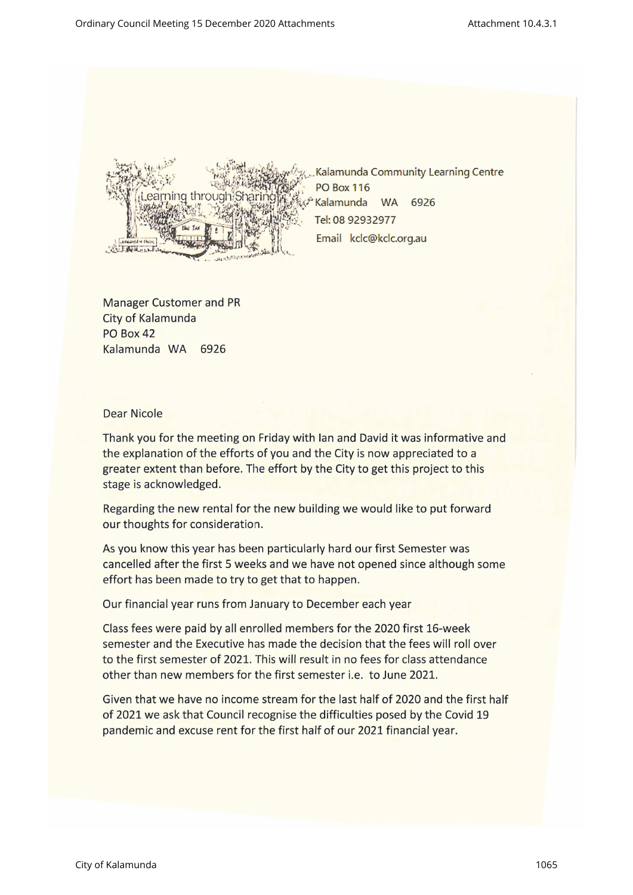

Kalamunda Community Learning Centre Email kclc@kclc.org.au

Manager Customer and PR City of Kalamunda PO Box 42 Kalamunda WA <sup>6926</sup>

## Dear Nicole

Thank you for the meeting on Friday with lan and David it was informative and the explanation of the efforts of you and the City is now appreciated to <sup>a</sup> greater extent than before. The effort by the City to get this project to this stage is acknowledged.

Regarding the new rental for the new building we would like to put forward our thoughts for consideration.

As you know this year has been particularly hard our first Semester was cancelled after the first <sup>5</sup> weeks and we have not opened since although some effort has been made to try to get that to happen.

Our financial year runs from January to December each year

Class fees were paid by all enrolled members for the 2020 first 16-week semester and the Executive has made the decision that the fees will roll over to the first semester of 2021. This will result in no fees for class attendance other than new members for the first semester i.e. to June 2021.

no income stre<br>Council recogn<br>e rent for the f<br>The strain of the form of the form of the form of the form of the form of the strain of the strain of the strain of the strain of the strain of the strain of the strain of the Given that we have no income stream for the last half of 2020 and the first half of 2021 we ask that Council recognise the difficulties posed by the Covid 19 pandemic and excuse rent for the first half of our 2021 financial year.